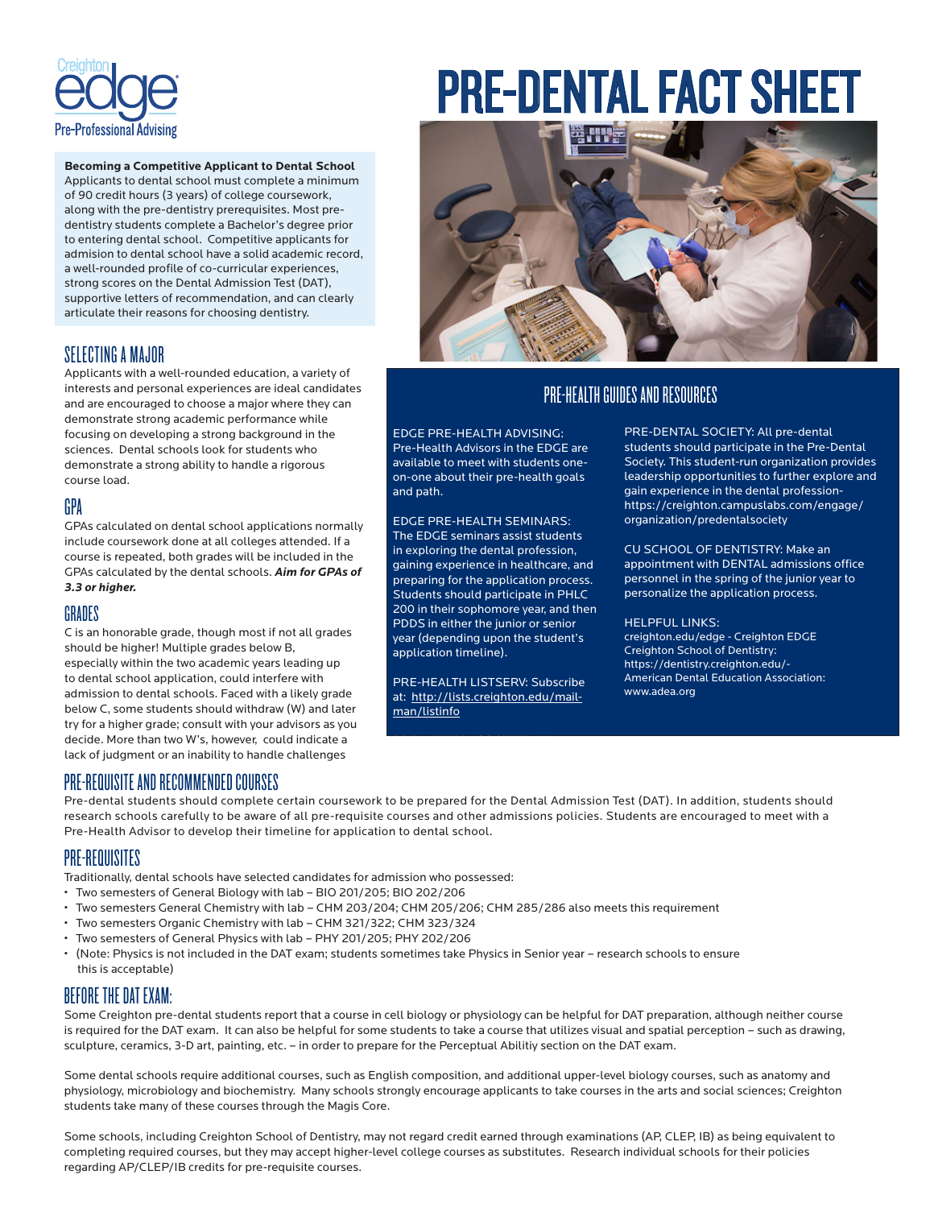

**Becoming a Competitive Applicant to Dental School**  Applicants to dental school must complete a minimum of 90 credit hours (3 years) of college coursework, along with the pre-dentistry prerequisites. Most predentistry students complete a Bachelor's degree prior to entering dental school. Competitive applicants for admision to dental school have a solid academic record, a well-rounded profile of co-curricular experiences, strong scores on the Dental Admission Test (DAT), supportive letters of recommendation, and can clearly articulate their reasons for choosing dentistry.

## SELECTING A MAJOR

Applicants with a well-rounded education, a variety of interests and personal experiences are ideal candidates and are encouraged to choose a major where they can demonstrate strong academic performance while focusing on developing a strong background in the sciences. Dental schools look for students who demonstrate a strong ability to handle a rigorous course load.

## GPA

GPAs calculated on dental school applications normally include coursework done at all colleges attended. If a course is repeated, both grades will be included in the GPAs calculated by the dental schools. *Aim for GPAs of 3.3 or higher.* 

### GRADES

C is an honorable grade, though most if not all grades should be higher! Multiple grades below B, especially within the two academic years leading up to dental school application, could interfere with admission to dental schools. Faced with a likely grade below C, some students should withdraw (W) and later try for a higher grade; consult with your advisors as you decide. More than two W's, however, could indicate a lack of judgment or an inability to handle challenges

# PRE-DENTAL FACT SHEET



# PRE-HEALTH GUIDES AND RESOURCES

EDGE PRE-HEALTH ADVISING: Pre-Health Advisors in the EDGE are available to meet with students oneon-one about their pre-health goals and path.

EDGE PRE-HEALTH SEMINARS: The EDGE seminars assist students in exploring the dental profession, gaining experience in healthcare, and preparing for the application process. Students should participate in PHLC 200 in their sophomore year, and then PDDS in either the junior or senior year (depending upon the student's application timeline).

PRE-HEALTH LISTSERV: Subscribe at: http://lists.creighton.edu/mailman/listinfo

PRE-MEDICAL SOCIETY: All

PRE-DENTAL SOCIETY: All pre-dental students should participate in the Pre-Dental Society. This student-run organization provides leadership opportunities to further explore and gain experience in the dental professionhttps://creighton.campuslabs.com/engage/ organization/predentalsociety

CU SCHOOL OF DENTISTRY: Make an appointment with DENTAL admissions office personnel in the spring of the junior year to personalize the application process.

#### HELPFUL LINKS:

creighton.edu/edge - Creighton EDGE Creighton School of Dentistry: https://dentistry.creighton.edu/- American Dental Education Association: www.adea.org

## PRE-REQUISITE AND RECOMMENDED COURSES

Pre-dental students should complete certain coursework to be prepared for the Dental Admission Test (DAT). In addition, students should research schools carefully to be aware of all pre-requisite courses and other admissions policies. Students are encouraged to meet with a Pre-Health Advisor to develop their timeline for application to dental school.

## PRE-REQUISITES

Traditionally, dental schools have selected candidates for admission who possessed:

- Two semesters of General Biology with lab BIO 201/205; BIO 202/206
- Two semesters General Chemistry with lab CHM 203/204; CHM 205/206; CHM 285/286 also meets this requirement
- Two semesters Organic Chemistry with lab CHM 321/322; CHM 323/324
- Two semesters of General Physics with lab PHY 201/205; PHY 202/206
- (Note: Physics is not included in the DAT exam; students sometimes take Physics in Senior year research schools to ensure this is acceptable)

# BEFORE THE DAT EXAM:

Some Creighton pre-dental students report that a course in cell biology or physiology can be helpful for DAT preparation, although neither course is required for the DAT exam. It can also be helpful for some students to take a course that utilizes visual and spatial perception - such as drawing, sculpture, ceramics, 3-D art, painting, etc. – in order to prepare for the Perceptual Abilitiy section on the DAT exam.

Some dental schools require additional courses, such as English composition, and additional upper-level biology courses, such as anatomy and physiology, microbiology and biochemistry. Many schools strongly encourage applicants to take courses in the arts and social sciences; Creighton students take many of these courses through the Magis Core.

Some schools, including Creighton School of Dentistry, may not regard credit earned through examinations (AP, CLEP, IB) as being equivalent to completing required courses, but they may accept higher-level college courses as substitutes. Research individual schools for their policies regarding AP/CLEP/IB credits for pre-requisite courses.